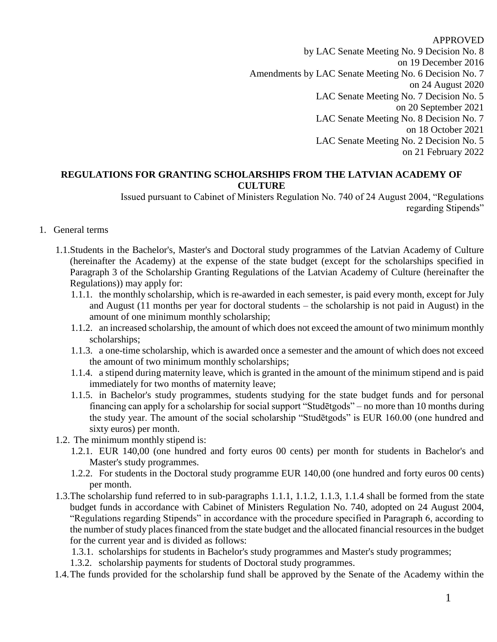#### APPROVED

by LAC Senate Meeting No. 9 Decision No. 8 on 19 December 2016 Amendments by LAC Senate Meeting No. 6 Decision No. 7 on 24 August 2020 LAC Senate Meeting No. 7 Decision No. 5 on 20 September 2021 LAC Senate Meeting No. 8 Decision No. 7 on 18 October 2021 LAC Senate Meeting No. 2 Decision No. 5 on 21 February 2022

### **REGULATIONS FOR GRANTING SCHOLARSHIPS FROM THE LATVIAN ACADEMY OF CULTURE**

Issued pursuant to Cabinet of Ministers Regulation No. 740 of 24 August 2004, "Regulations regarding Stipends"

#### 1. General terms

- 1.1.Students in the Bachelor's, Master's and Doctoral study programmes of the Latvian Academy of Culture (hereinafter the Academy) at the expense of the state budget (except for the scholarships specified in Paragraph 3 of the Scholarship Granting Regulations of the Latvian Academy of Culture (hereinafter the Regulations)) may apply for:
	- 1.1.1. the monthly scholarship, which is re-awarded in each semester, is paid every month, except for July and August (11 months per year for doctoral students – the scholarship is not paid in August) in the amount of one minimum monthly scholarship;
	- 1.1.2. an increased scholarship, the amount of which does not exceed the amount of two minimum monthly scholarships;
	- 1.1.3. a one-time scholarship, which is awarded once a semester and the amount of which does not exceed the amount of two minimum monthly scholarships;
	- 1.1.4. a stipend during maternity leave, which is granted in the amount of the minimum stipend and is paid immediately for two months of maternity leave;
	- 1.1.5. in Bachelor's study programmes, students studying for the state budget funds and for personal financing can apply for a scholarship for social support "Studētgods" – no more than 10 months during the study year. The amount of the social scholarship "Studētgods" is EUR 160.00 (one hundred and sixty euros) per month.
- 1.2. The minimum monthly stipend is:
	- 1.2.1. EUR 140,00 (one hundred and forty euros 00 cents) per month for students in Bachelor's and Master's study programmes.
	- 1.2.2. For students in the Doctoral study programme EUR 140,00 (one hundred and forty euros 00 cents) per month.
- 1.3.The scholarship fund referred to in sub-paragraphs 1.1.1, 1.1.2, 1.1.3, 1.1.4 shall be formed from the state budget funds in accordance with Cabinet of Ministers Regulation No. 740, adopted on 24 August 2004, "Regulations regarding Stipends" in accordance with the procedure specified in Paragraph 6, according to the number of study places financed from the state budget and the allocated financial resources in the budget for the current year and is divided as follows:
	- 1.3.1. scholarships for students in Bachelor's study programmes and Master's study programmes;
	- 1.3.2. scholarship payments for students of Doctoral study programmes.
- 1.4.The funds provided for the scholarship fund shall be approved by the Senate of the Academy within the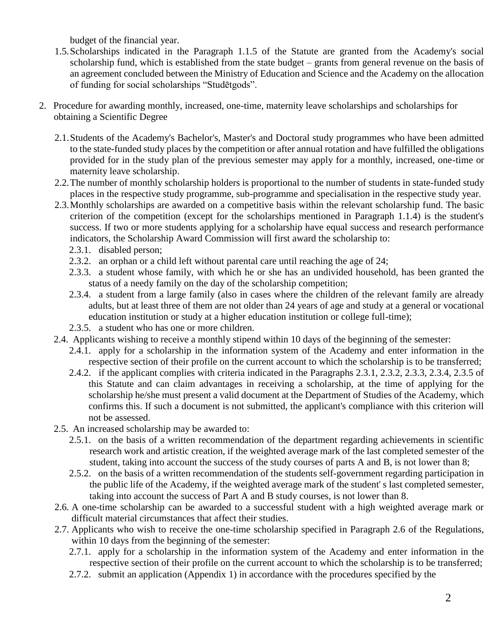budget of the financial year.

- 1.5.Scholarships indicated in the Paragraph 1.1.5 of the Statute are granted from the Academy's social scholarship fund, which is established from the state budget – grants from general revenue on the basis of an agreement concluded between the Ministry of Education and Science and the Academy on the allocation of funding for social scholarships "Studētgods".
- 2. Procedure for awarding monthly, increased, one-time, maternity leave scholarships and scholarships for obtaining a Scientific Degree
	- 2.1.Students of the Academy's Bachelor's, Master's and Doctoral study programmes who have been admitted to the state-funded study places by the competition or after annual rotation and have fulfilled the obligations provided for in the study plan of the previous semester may apply for a monthly, increased, one-time or maternity leave scholarship.
	- 2.2.The number of monthly scholarship holders is proportional to the number of students in state-funded study places in the respective study programme, sub-programme and specialisation in the respective study year.
	- 2.3.Monthly scholarships are awarded on a competitive basis within the relevant scholarship fund. The basic criterion of the competition (except for the scholarships mentioned in Paragraph 1.1.4) is the student's success. If two or more students applying for a scholarship have equal success and research performance indicators, the Scholarship Award Commission will first award the scholarship to:
		- 2.3.1. disabled person;
		- 2.3.2. an orphan or a child left without parental care until reaching the age of 24;
		- 2.3.3. a student whose family, with which he or she has an undivided household, has been granted the status of a needy family on the day of the scholarship competition;
		- 2.3.4. a student from a large family (also in cases where the children of the relevant family are already adults, but at least three of them are not older than 24 years of age and study at a general or vocational education institution or study at a higher education institution or college full-time);
		- 2.3.5. a student who has one or more children.
	- 2.4. Applicants wishing to receive a monthly stipend within 10 days of the beginning of the semester:
		- 2.4.1. apply for a scholarship in the information system of the Academy and enter information in the respective section of their profile on the current account to which the scholarship is to be transferred;
		- 2.4.2. if the applicant complies with criteria indicated in the Paragraphs 2.3.1, 2.3.2, 2.3.3, 2.3.4, 2.3.5 of this Statute and can claim advantages in receiving a scholarship, at the time of applying for the scholarship he/she must present a valid document at the Department of Studies of the Academy, which confirms this. If such a document is not submitted, the applicant's compliance with this criterion will not be assessed.
	- 2.5. An increased scholarship may be awarded to:
		- 2.5.1. on the basis of a written recommendation of the department regarding achievements in scientific research work and artistic creation, if the weighted average mark of the last completed semester of the student, taking into account the success of the study courses of parts A and B, is not lower than 8;
		- 2.5.2. on the basis of a written recommendation of the students self-government regarding participation in the public life of the Academy, if the weighted average mark of the student' s last completed semester, taking into account the success of Part A and B study courses, is not lower than 8.
	- 2.6. A one-time scholarship can be awarded to a successful student with a high weighted average mark or difficult material circumstances that affect their studies.
	- 2.7. Applicants who wish to receive the one-time scholarship specified in Paragraph 2.6 of the Regulations, within 10 days from the beginning of the semester:
		- 2.7.1. apply for a scholarship in the information system of the Academy and enter information in the respective section of their profile on the current account to which the scholarship is to be transferred;
		- 2.7.2. submit an application (Appendix 1) in accordance with the procedures specified by the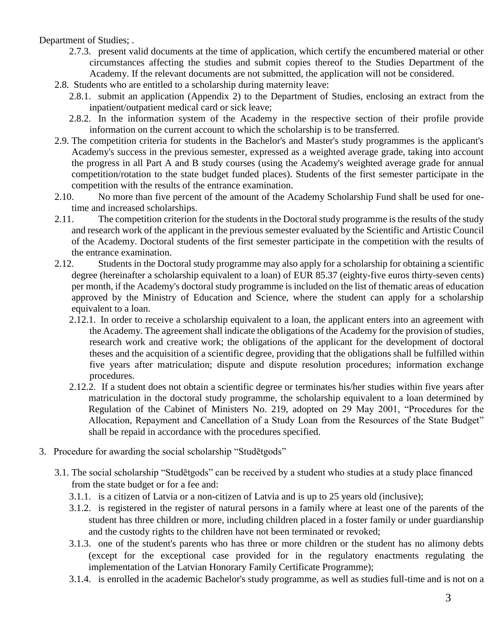### Department of Studies; .

- 2.7.3. present valid documents at the time of application, which certify the encumbered material or other circumstances affecting the studies and submit copies thereof to the Studies Department of the Academy. If the relevant documents are not submitted, the application will not be considered.
- 2.8. Students who are entitled to a scholarship during maternity leave:
	- 2.8.1. submit an application (Appendix 2) to the Department of Studies, enclosing an extract from the inpatient/outpatient medical card or sick leave;
	- 2.8.2. In the information system of the Academy in the respective section of their profile provide information on the current account to which the scholarship is to be transferred.
- 2.9. The competition criteria for students in the Bachelor's and Master's study programmes is the applicant's Academy's success in the previous semester, expressed as a weighted average grade, taking into account the progress in all Part A and B study courses (using the Academy's weighted average grade for annual competition/rotation to the state budget funded places). Students of the first semester participate in the competition with the results of the entrance examination.
- 2.10. No more than five percent of the amount of the Academy Scholarship Fund shall be used for onetime and increased scholarships.
- 2.11. The competition criterion for the students in the Doctoral study programme is the results of the study and research work of the applicant in the previous semester evaluated by the Scientific and Artistic Council of the Academy. Doctoral students of the first semester participate in the competition with the results of the entrance examination.
- 2.12. Students in the Doctoral study programme may also apply for a scholarship for obtaining a scientific degree (hereinafter a scholarship equivalent to a loan) of EUR 85.37 (eighty-five euros thirty-seven cents) per month, if the Academy's doctoral study programme is included on the list of thematic areas of education approved by the Ministry of Education and Science, where the student can apply for a scholarship equivalent to a loan.
	- 2.12.1. In order to receive a scholarship equivalent to a loan, the applicant enters into an agreement with the Academy. The agreement shall indicate the obligations of the Academy for the provision of studies, research work and creative work; the obligations of the applicant for the development of doctoral theses and the acquisition of a scientific degree, providing that the obligations shall be fulfilled within five years after matriculation; dispute and dispute resolution procedures; information exchange procedures.
	- 2.12.2. If a student does not obtain a scientific degree or terminates his/her studies within five years after matriculation in the doctoral study programme, the scholarship equivalent to a loan determined by Regulation of the Cabinet of Ministers No. 219, adopted on 29 May 2001, "Procedures for the Allocation, Repayment and Cancellation of a Study Loan from the Resources of the State Budget" shall be repaid in accordance with the procedures specified.
- 3. Procedure for awarding the social scholarship "Studētgods"
	- 3.1. The social scholarship "Studētgods" can be received by a student who studies at a study place financed from the state budget or for a fee and:
		- 3.1.1. is a citizen of Latvia or a non-citizen of Latvia and is up to 25 years old (inclusive);
		- 3.1.2. is registered in the register of natural persons in a family where at least one of the parents of the student has three children or more, including children placed in a foster family or under guardianship and the custody rights to the children have not been terminated or revoked;
		- 3.1.3. one of the student's parents who has three or more children or the student has no alimony debts (except for the exceptional case provided for in the regulatory enactments regulating the implementation of the Latvian Honorary Family Certificate Programme);
		- 3.1.4. is enrolled in the academic Bachelor's study programme, as well as studies full-time and is not on a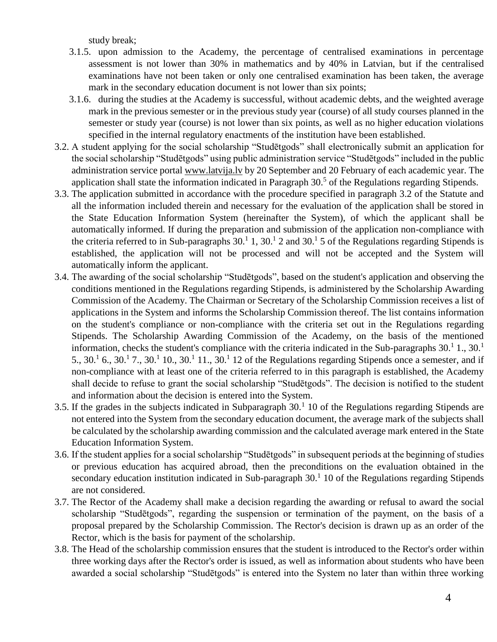study break;

- 3.1.5. upon admission to the Academy, the percentage of centralised examinations in percentage assessment is not lower than 30% in mathematics and by 40% in Latvian, but if the centralised examinations have not been taken or only one centralised examination has been taken, the average mark in the secondary education document is not lower than six points;
- 3.1.6. during the studies at the Academy is successful, without academic debts, and the weighted average mark in the previous semester or in the previous study year (course) of all study courses planned in the semester or study year (course) is not lower than six points, as well as no higher education violations specified in the internal regulatory enactments of the institution have been established.
- 3.2. A student applying for the social scholarship "Studētgods" shall electronically submit an application for the social scholarship "Studētgods" using public administration service "Studētgods" included in the public administration service portal [www.latvija.lv](http://www.latvija.lv/) by 20 September and 20 February of each academic year. The application shall state the information indicated in Paragraph  $30<sup>5</sup>$  of the Regulations regarding Stipends.
- 3.3. The application submitted in accordance with the procedure specified in paragraph 3.2 of the Statute and all the information included therein and necessary for the evaluation of the application shall be stored in the State Education Information System (hereinafter the System), of which the applicant shall be automatically informed. If during the preparation and submission of the application non-compliance with the criteria referred to in Sub-paragraphs  $30<sup>1</sup>$ ,  $30<sup>1</sup>$  2 and  $30<sup>1</sup>$  5 of the Regulations regarding Stipends is established, the application will not be processed and will not be accepted and the System will automatically inform the applicant.
- 3.4. The awarding of the social scholarship "Studētgods", based on the student's application and observing the conditions mentioned in the Regulations regarding Stipends, is administered by the Scholarship Awarding Commission of the Academy. The Chairman or Secretary of the Scholarship Commission receives a list of applications in the System and informs the Scholarship Commission thereof. The list contains information on the student's compliance or non-compliance with the criteria set out in the Regulations regarding Stipends. The Scholarship Awarding Commission of the Academy, on the basis of the mentioned information, checks the student's compliance with the criteria indicated in the Sub-paragraphs  $30<sup>1</sup>1$ ,  $30<sup>1</sup>$ 5.,  $30.1\,6$ .,  $30.1\,7$ .,  $30.1\,10$ .,  $30.1\,11$ .,  $30.1\,12$  of the Regulations regarding Stipends once a semester, and if non-compliance with at least one of the criteria referred to in this paragraph is established, the Academy shall decide to refuse to grant the social scholarship "Studētgods". The decision is notified to the student and information about the decision is entered into the System.
- 3.5. If the grades in the subjects indicated in Subparagraph  $30<sup>1</sup>$  10 of the Regulations regarding Stipends are not entered into the System from the secondary education document, the average mark of the subjects shall be calculated by the scholarship awarding commission and the calculated average mark entered in the State Education Information System.
- 3.6. If the student applies for a social scholarship "Studētgods" in subsequent periods at the beginning of studies or previous education has acquired abroad, then the preconditions on the evaluation obtained in the secondary education institution indicated in Sub-paragraph  $30<sup>1</sup>$  10 of the Regulations regarding Stipends are not considered.
- 3.7. The Rector of the Academy shall make a decision regarding the awarding or refusal to award the social scholarship "Studētgods", regarding the suspension or termination of the payment, on the basis of a proposal prepared by the Scholarship Commission. The Rector's decision is drawn up as an order of the Rector, which is the basis for payment of the scholarship.
- 3.8. The Head of the scholarship commission ensures that the student is introduced to the Rector's order within three working days after the Rector's order is issued, as well as information about students who have been awarded a social scholarship "Studētgods" is entered into the System no later than within three working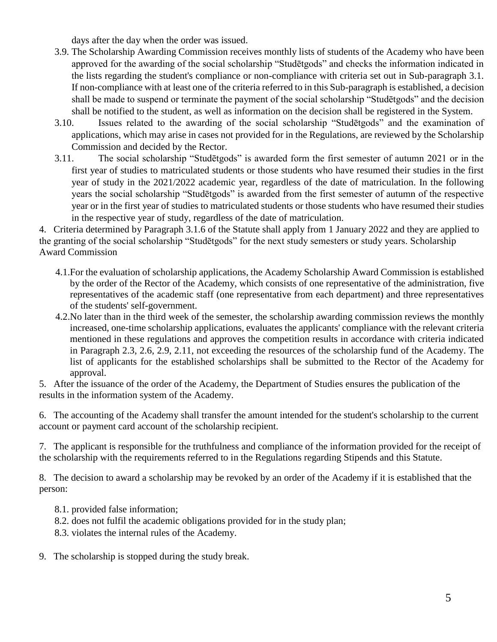days after the day when the order was issued.

- 3.9. The Scholarship Awarding Commission receives monthly lists of students of the Academy who have been approved for the awarding of the social scholarship "Studētgods" and checks the information indicated in the lists regarding the student's compliance or non-compliance with criteria set out in Sub-paragraph 3.1. If non-compliance with at least one of the criteria referred to in this Sub-paragraph is established, a decision shall be made to suspend or terminate the payment of the social scholarship "Studētgods" and the decision shall be notified to the student, as well as information on the decision shall be registered in the System.
- 3.10. Issues related to the awarding of the social scholarship "Studētgods" and the examination of applications, which may arise in cases not provided for in the Regulations, are reviewed by the Scholarship Commission and decided by the Rector.
- 3.11. The social scholarship "Studētgods" is awarded form the first semester of autumn 2021 or in the first year of studies to matriculated students or those students who have resumed their studies in the first year of study in the 2021/2022 academic year, regardless of the date of matriculation. In the following years the social scholarship "Studētgods" is awarded from the first semester of autumn of the respective year or in the first year of studies to matriculated students or those students who have resumed their studies in the respective year of study, regardless of the date of matriculation.

4. Criteria determined by Paragraph 3.1.6 of the Statute shall apply from 1 January 2022 and they are applied to the granting of the social scholarship "Studētgods" for the next study semesters or study years. Scholarship Award Commission

- 4.1.For the evaluation of scholarship applications, the Academy Scholarship Award Commission is established by the order of the Rector of the Academy, which consists of one representative of the administration, five representatives of the academic staff (one representative from each department) and three representatives of the students' self-government.
- 4.2.No later than in the third week of the semester, the scholarship awarding commission reviews the monthly increased, one-time scholarship applications, evaluates the applicants' compliance with the relevant criteria mentioned in these regulations and approves the competition results in accordance with criteria indicated in Paragraph 2.3, 2.6, 2.9, 2.11, not exceeding the resources of the scholarship fund of the Academy. The list of applicants for the established scholarships shall be submitted to the Rector of the Academy for approval.

5. After the issuance of the order of the Academy, the Department of Studies ensures the publication of the results in the information system of the Academy.

6. The accounting of the Academy shall transfer the amount intended for the student's scholarship to the current account or payment card account of the scholarship recipient.

7. The applicant is responsible for the truthfulness and compliance of the information provided for the receipt of the scholarship with the requirements referred to in the Regulations regarding Stipends and this Statute.

8. The decision to award a scholarship may be revoked by an order of the Academy if it is established that the person:

- 8.1. provided false information;
- 8.2. does not fulfil the academic obligations provided for in the study plan;
- 8.3. violates the internal rules of the Academy.
- 9. The scholarship is stopped during the study break.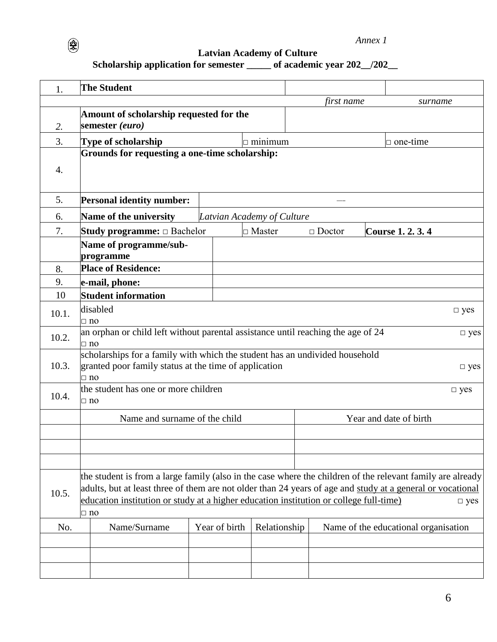*Annex 1*

**Latvian Academy of Culture**

## **Scholarship application for semester \_\_\_\_\_ of academic year 202\_\_/202\_\_**

 $\circledast$ 

|       | <b>The Student</b>                                                                                                                                                                                                                                                                                                                               |  |                            |                |  |                        |  |                                      |
|-------|--------------------------------------------------------------------------------------------------------------------------------------------------------------------------------------------------------------------------------------------------------------------------------------------------------------------------------------------------|--|----------------------------|----------------|--|------------------------|--|--------------------------------------|
| 1.    |                                                                                                                                                                                                                                                                                                                                                  |  |                            |                |  | first name             |  |                                      |
|       | Amount of scholarship requested for the                                                                                                                                                                                                                                                                                                          |  |                            |                |  |                        |  | surname                              |
| 2.    | semester (euro)                                                                                                                                                                                                                                                                                                                                  |  |                            |                |  |                        |  |                                      |
| 3.    | Type of scholarship                                                                                                                                                                                                                                                                                                                              |  |                            | $\Box$ minimum |  |                        |  | $\Box$ one-time                      |
|       | Grounds for requesting a one-time scholarship:                                                                                                                                                                                                                                                                                                   |  |                            |                |  |                        |  |                                      |
| 4.    |                                                                                                                                                                                                                                                                                                                                                  |  |                            |                |  |                        |  |                                      |
| 5.    | <b>Personal identity number:</b>                                                                                                                                                                                                                                                                                                                 |  |                            |                |  |                        |  |                                      |
| 6.    | Name of the university                                                                                                                                                                                                                                                                                                                           |  | Latvian Academy of Culture |                |  |                        |  |                                      |
| 7.    | <b>Study programme:</b> $\Box$ Bachelor                                                                                                                                                                                                                                                                                                          |  |                            | $\Box$ Master  |  | $\Box$ Doctor          |  | Course 1. 2. 3. 4                    |
|       | Name of programme/sub-<br>programme                                                                                                                                                                                                                                                                                                              |  |                            |                |  |                        |  |                                      |
| 8.    | <b>Place of Residence:</b>                                                                                                                                                                                                                                                                                                                       |  |                            |                |  |                        |  |                                      |
| 9.    | e-mail, phone:                                                                                                                                                                                                                                                                                                                                   |  |                            |                |  |                        |  |                                      |
| 10    | <b>Student information</b>                                                                                                                                                                                                                                                                                                                       |  |                            |                |  |                        |  |                                      |
| 10.1. | disabled<br>$\Box$ no                                                                                                                                                                                                                                                                                                                            |  |                            |                |  |                        |  | $\square$ yes                        |
| 10.2. | an orphan or child left without parental assistance until reaching the age of 24<br>$\square$ yes<br>$\Box$ no                                                                                                                                                                                                                                   |  |                            |                |  |                        |  |                                      |
| 10.3. | scholarships for a family with which the student has an undivided household<br>granted poor family status at the time of application<br>$\Box$ yes<br>$\Box$ no                                                                                                                                                                                  |  |                            |                |  |                        |  |                                      |
| 10.4. | the student has one or more children<br>$\square$ yes<br>$\Box$ no                                                                                                                                                                                                                                                                               |  |                            |                |  |                        |  |                                      |
|       | Name and surname of the child                                                                                                                                                                                                                                                                                                                    |  |                            |                |  | Year and date of birth |  |                                      |
|       |                                                                                                                                                                                                                                                                                                                                                  |  |                            |                |  |                        |  |                                      |
|       |                                                                                                                                                                                                                                                                                                                                                  |  |                            |                |  |                        |  |                                      |
| 10.5. | the student is from a large family (also in the case where the children of the relevant family are already<br>adults, but at least three of them are not older than 24 years of age and study at a general or vocational<br>education institution or study at a higher education institution or college full-time)<br>$\square$ yes<br>$\Box$ no |  |                            |                |  |                        |  |                                      |
| No.   | Name/Surname                                                                                                                                                                                                                                                                                                                                     |  | Year of birth              | Relationship   |  |                        |  | Name of the educational organisation |
|       |                                                                                                                                                                                                                                                                                                                                                  |  |                            |                |  |                        |  |                                      |
|       |                                                                                                                                                                                                                                                                                                                                                  |  |                            |                |  |                        |  |                                      |
|       |                                                                                                                                                                                                                                                                                                                                                  |  |                            |                |  |                        |  |                                      |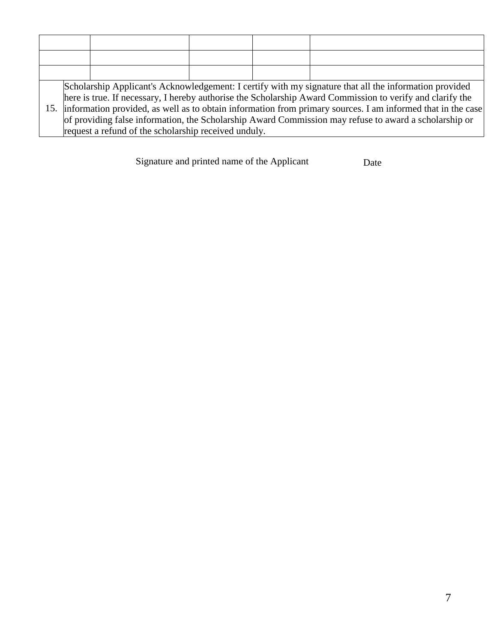| Scholarship Applicant's Acknowledgement: I certify with my signature that all the information provided<br>here is true. If necessary, I hereby authorise the Scholarship Award Commission to verify and clarify the<br>15. information provided, as well as to obtain information from primary sources. I am informed that in the case<br>of providing false information, the Scholarship Award Commission may refuse to award a scholarship or<br>request a refund of the scholarship received unduly. |  |  |  |  |  |  |  |
|---------------------------------------------------------------------------------------------------------------------------------------------------------------------------------------------------------------------------------------------------------------------------------------------------------------------------------------------------------------------------------------------------------------------------------------------------------------------------------------------------------|--|--|--|--|--|--|--|

Signature and printed name of the Applicant Date